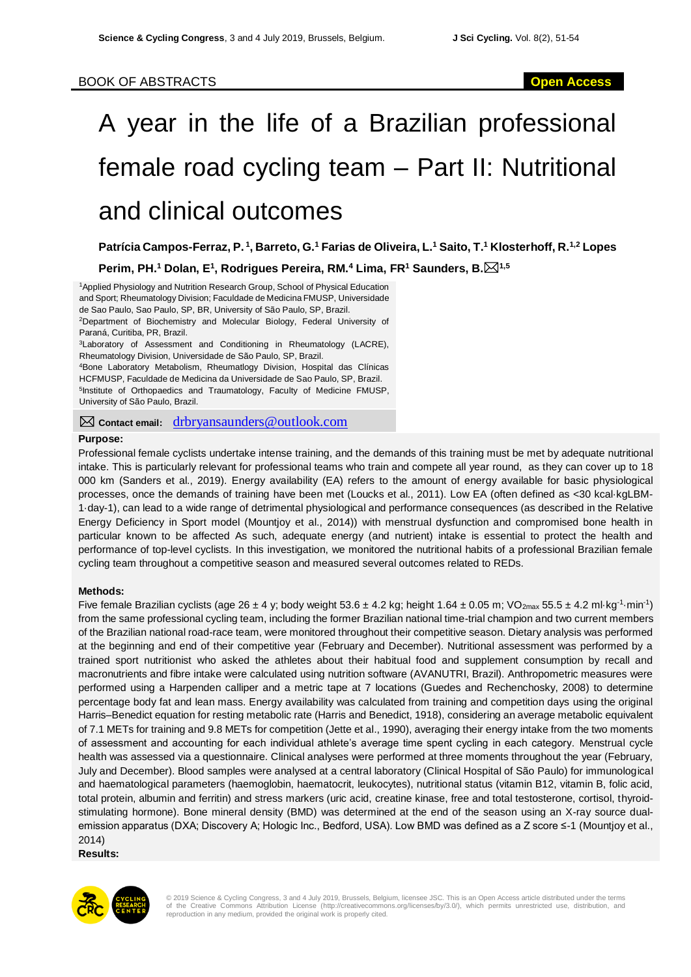# A year in the life of a Brazilian professional female road cycling team – Part II: Nutritional and clinical outcomes

**Patrícia Campos-Ferraz, P. <sup>1</sup> , Barreto, G.<sup>1</sup> Farias de Oliveira, L.<sup>1</sup> Saito, T.<sup>1</sup> Klosterhoff, R.1,2 Lopes**   $P$ erim, PH.<sup>1</sup> Dolan, E<sup>1</sup>, Rodrigues Pereira, RM.<sup>4</sup> Lima, FR<sup>1</sup> Saunders, B. $\boxtimes^{1,5}$ 

<sup>1</sup>Applied Physiology and Nutrition Research Group, School of Physical Education and Sport; Rheumatology Division; Faculdade de Medicina FMUSP, Universidade de Sao Paulo, Sao Paulo, SP, BR, University of São Paulo, SP, Brazil. <sup>2</sup>Department of Biochemistry and Molecular Biology, Federal University of Paraná, Curitiba, PR, Brazil.

<sup>3</sup>Laboratory of Assessment and Conditioning in Rheumatology (LACRE), Rheumatology Division, Universidade de São Paulo, SP, Brazil. <sup>4</sup>Bone Laboratory Metabolism, Rheumatlogy Division, Hospital das Clínicas HCFMUSP, Faculdade de Medicina da Universidade de Sao Paulo, SP, Brazil. 5 Institute of Orthopaedics and Traumatology, Faculty of Medicine FMUSP, University of São Paulo, Brazil.

**Contact email:** [drbryansaunders@outlook.com](mailto:drbryansaunders@outlook.com)

## **Purpose:**

Professional female cyclists undertake intense training, and the demands of this training must be met by adequate nutritional intake. This is particularly relevant for professional teams who train and compete all year round, as they can cover up to 18 000 km (Sanders et al., 2019). Energy availability (EA) refers to the amount of energy available for basic physiological processes, once the demands of training have been met (Loucks et al., 2011). Low EA (often defined as <30 kcal·kgLBM-1·day-1), can lead to a wide range of detrimental physiological and performance consequences (as described in the Relative Energy Deficiency in Sport model (Mountjoy et al., 2014)) with menstrual dysfunction and compromised bone health in particular known to be affected As such, adequate energy (and nutrient) intake is essential to protect the health and performance of top-level cyclists. In this investigation, we monitored the nutritional habits of a professional Brazilian female cycling team throughout a competitive season and measured several outcomes related to REDs.

## **Methods:**

Five female Brazilian cyclists (age 26 ± 4 y; body weight 53.6 ± 4.2 kg; height 1.64 ± 0.05 m; VO<sub>2max</sub> 55.5 ± 4.2 ml·kg<sup>-1</sup>·min<sup>-1</sup>) from the same professional cycling team, including the former Brazilian national time-trial champion and two current members of the Brazilian national road-race team, were monitored throughout their competitive season. Dietary analysis was performed at the beginning and end of their competitive year (February and December). Nutritional assessment was performed by a trained sport nutritionist who asked the athletes about their habitual food and supplement consumption by recall and macronutrients and fibre intake were calculated using nutrition software (AVANUTRI, Brazil). Anthropometric measures were performed using a Harpenden calliper and a metric tape at 7 locations [\(Guedes and Rechenchosky, 2008\)](#page-3-0) to determine percentage body fat and lean mass. Energy availability was calculated from training and competition days using the original Harris–Benedict equation for resting metabolic rate [\(Harris and Benedict, 1918\)](#page-3-1), considering an average metabolic equivalent of 7.1 METs for training and 9.8 METs for competition [\(Jette et al., 1990\)](#page-3-2), averaging their energy intake from the two moments of assessment and accounting for each individual athlete's average time spent cycling in each category. Menstrual cycle health was assessed via a questionnaire. Clinical analyses were performed at three moments throughout the year (February, July and December). Blood samples were analysed at a central laboratory (Clinical Hospital of São Paulo) for immunological and haematological parameters (haemoglobin, haematocrit, leukocytes), nutritional status (vitamin B12, vitamin B, folic acid, total protein, albumin and ferritin) and stress markers (uric acid, creatine kinase, free and total testosterone, cortisol, thyroidstimulating hormone). Bone mineral density (BMD) was determined at the end of the season using an X-ray source dualemission apparatus (DXA; Discovery A; Hologic Inc., Bedford, USA). Low BMD was defined as a Z score ≤-1 [\(Mountjoy](#page-3-3) et al., [2014\)](#page-3-3)

**Results:**



© 2019 Science & Cycling Congress, 3 and 4 July 2019, Brussels, Belgium, licensee JSC. This is an Open Access article distributed under the terms of the Creative Commons Attribution License (http://creativecommons.org/licenses/by/3.0/), which permits unrestricted use, distribution, and reproduction in any medium, provided the original work is properly cited.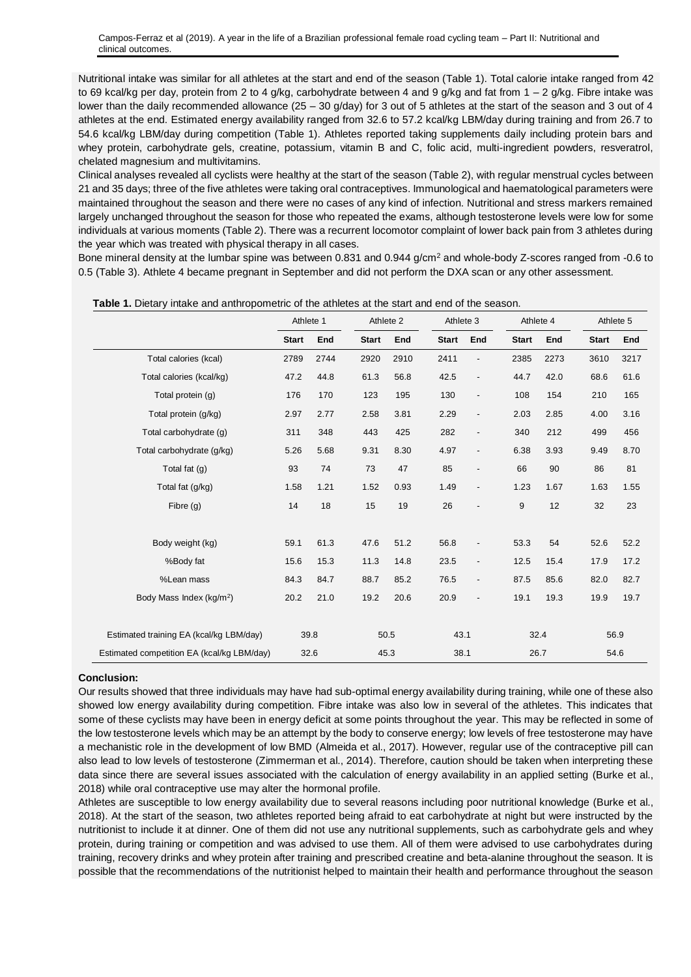Nutritional intake was similar for all athletes at the start and end of the season (Table 1). Total calorie intake ranged from 42 to 69 kcal/kg per day, protein from 2 to 4 g/kg, carbohydrate between 4 and 9 g/kg and fat from  $1 - 2$  g/kg. Fibre intake was lower than the daily recommended allowance ( $25 - 30$  g/day) for 3 out of 5 athletes at the start of the season and 3 out of 4 athletes at the end. Estimated energy availability ranged from 32.6 to 57.2 kcal/kg LBM/day during training and from 26.7 to 54.6 kcal/kg LBM/day during competition (Table 1). Athletes reported taking supplements daily including protein bars and whey protein, carbohydrate gels, creatine, potassium, vitamin B and C, folic acid, multi-ingredient powders, resveratrol, chelated magnesium and multivitamins.

Clinical analyses revealed all cyclists were healthy at the start of the season (Table 2), with regular menstrual cycles between 21 and 35 days; three of the five athletes were taking oral contraceptives. Immunological and haematological parameters were maintained throughout the season and there were no cases of any kind of infection. Nutritional and stress markers remained largely unchanged throughout the season for those who repeated the exams, although testosterone levels were low for some individuals at various moments (Table 2). There was a recurrent locomotor complaint of lower back pain from 3 athletes during the year which was treated with physical therapy in all cases.

Bone mineral density at the lumbar spine was between 0.831 and 0.944 g/cm<sup>2</sup> and whole-body Z-scores ranged from -0.6 to 0.5 (Table 3). Athlete 4 became pregnant in September and did not perform the DXA scan or any other assessment.

|                                            | Athlete 1    |      |              | Athlete 2 |              | Athlete 3                |              | Athlete 4 |              | Athlete 5 |  |
|--------------------------------------------|--------------|------|--------------|-----------|--------------|--------------------------|--------------|-----------|--------------|-----------|--|
|                                            | <b>Start</b> | End  | <b>Start</b> | End       | <b>Start</b> | End                      | <b>Start</b> | End       | <b>Start</b> | End       |  |
| Total calories (kcal)                      | 2789         | 2744 | 2920         | 2910      | 2411         | $\overline{\phantom{0}}$ | 2385         | 2273      | 3610         | 3217      |  |
| Total calories (kcal/kg)                   | 47.2         | 44.8 | 61.3         | 56.8      | 42.5         | $\overline{\phantom{0}}$ | 44.7         | 42.0      | 68.6         | 61.6      |  |
| Total protein (g)                          | 176          | 170  | 123          | 195       | 130          | $\overline{\phantom{a}}$ | 108          | 154       | 210          | 165       |  |
| Total protein (g/kg)                       | 2.97         | 2.77 | 2.58         | 3.81      | 2.29         | $\overline{\phantom{a}}$ | 2.03         | 2.85      | 4.00         | 3.16      |  |
| Total carbohydrate (g)                     | 311          | 348  | 443          | 425       | 282          | $\overline{\phantom{a}}$ | 340          | 212       | 499          | 456       |  |
| Total carbohydrate (g/kg)                  | 5.26         | 5.68 | 9.31         | 8.30      | 4.97         | $\overline{\phantom{0}}$ | 6.38         | 3.93      | 9.49         | 8.70      |  |
| Total fat $(g)$                            | 93           | 74   | 73           | 47        | 85           | $\overline{\phantom{a}}$ | 66           | 90        | 86           | 81        |  |
| Total fat (g/kg)                           | 1.58         | 1.21 | 1.52         | 0.93      | 1.49         | $\overline{\phantom{a}}$ | 1.23         | 1.67      | 1.63         | 1.55      |  |
| Fibre (g)                                  | 14           | 18   | 15           | 19        | 26           | $\overline{\phantom{0}}$ | 9            | 12        | 32           | 23        |  |
| Body weight (kg)                           | 59.1         | 61.3 | 47.6         | 51.2      | 56.8         | $\overline{\phantom{a}}$ | 53.3         | 54        | 52.6         | 52.2      |  |
| %Body fat                                  | 15.6         | 15.3 | 11.3         | 14.8      | 23.5         | $\overline{\phantom{a}}$ | 12.5         | 15.4      | 17.9         | 17.2      |  |
| %Lean mass                                 | 84.3         | 84.7 | 88.7         | 85.2      | 76.5         | $\overline{\phantom{a}}$ | 87.5         | 85.6      | 82.0         | 82.7      |  |
| Body Mass Index (kg/m <sup>2</sup> )       | 20.2         | 21.0 | 19.2         | 20.6      | 20.9         | $\overline{\phantom{a}}$ | 19.1         | 19.3      | 19.9         | 19.7      |  |
| Estimated training EA (kcal/kg LBM/day)    | 39.8         |      |              | 50.5      |              | 43.1                     |              | 32.4      |              | 56.9      |  |
| Estimated competition EA (kcal/kg LBM/day) | 32.6         |      |              | 45.3      |              | 38.1                     |              | 26.7      |              | 54.6      |  |

## **Conclusion:**

Our results showed that three individuals may have had sub-optimal energy availability during training, while one of these also showed low energy availability during competition. Fibre intake was also low in several of the athletes. This indicates that some of these cyclists may have been in energy deficit at some points throughout the year. This may be reflected in some of the low testosterone levels which may be an attempt by the body to conserve energy; low levels of free testosterone may have a mechanistic role in the development of low BMD [\(Almeida et al., 2017\)](#page-3-4). However, regular use of the contraceptive pill can also lead to low levels of testosterone [\(Zimmerman et al., 2014\)](#page-3-5). Therefore, caution should be taken when interpreting these data since there are several issues associated with the calculation of energy availability in an applied setting [\(Burke et al.,](#page-3-6)  [2018\)](#page-3-6) while oral contraceptive use may alter the hormonal profile.

Athletes are susceptible to low energy availability due to several reasons including poor nutritional knowledge [\(Burke et al.,](#page-3-6)  [2018\)](#page-3-6). At the start of the season, two athletes reported being afraid to eat carbohydrate at night but were instructed by the nutritionist to include it at dinner. One of them did not use any nutritional supplements, such as carbohydrate gels and whey protein, during training or competition and was advised to use them. All of them were advised to use carbohydrates during training, recovery drinks and whey protein after training and prescribed creatine and beta-alanine throughout the season. It is possible that the recommendations of the nutritionist helped to maintain their health and performance throughout the season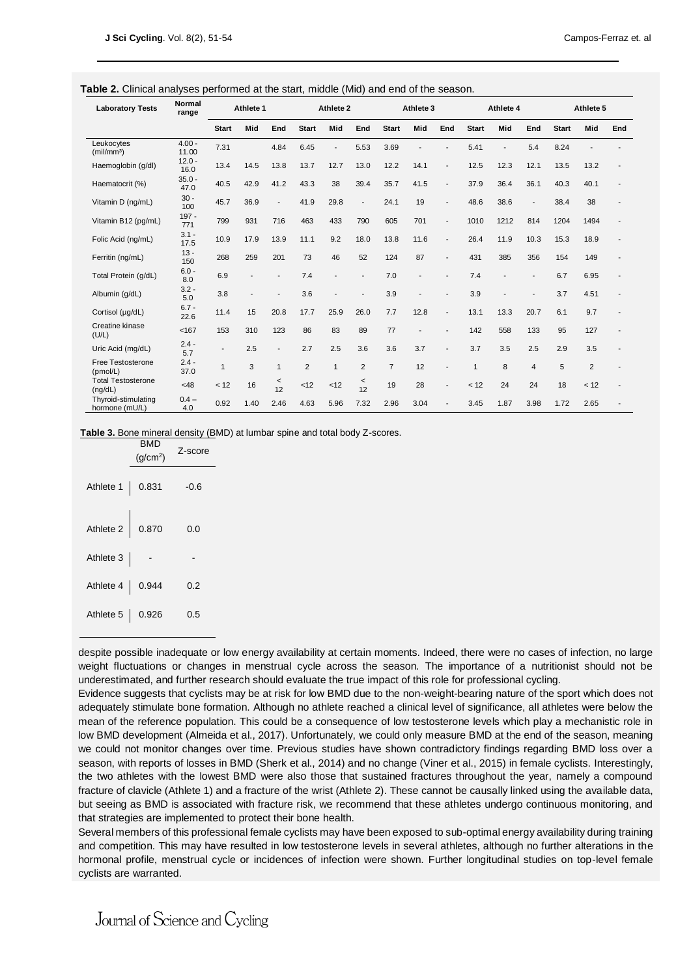| <b>Laboratory Tests</b>               | <b>Normal</b><br>range |              | Athlete 1 |                          | Athlete <sub>2</sub> |                |                | Athlete <sub>3</sub> |      |                              | Athlete 4    |      |      | Athlete 5    |                |     |
|---------------------------------------|------------------------|--------------|-----------|--------------------------|----------------------|----------------|----------------|----------------------|------|------------------------------|--------------|------|------|--------------|----------------|-----|
|                                       |                        | <b>Start</b> | Mid       | End                      | <b>Start</b>         | Mid            | End            | <b>Start</b>         | Mid  | End                          | <b>Start</b> | Mid  | End  | <b>Start</b> | Mid            | End |
| Leukocytes<br>(mil/mm <sup>3</sup> )  | $4.00 -$<br>11.00      | 7.31         |           | 4.84                     | 6.45                 | $\blacksquare$ | 5.53           | 3.69                 |      |                              | 5.41         |      | 5.4  | 8.24         |                |     |
| Haemoglobin (g/dl)                    | $12.0 -$<br>16.0       | 13.4         | 14.5      | 13.8                     | 13.7                 | 12.7           | 13.0           | 12.2                 | 14.1 |                              | 12.5         | 12.3 | 12.1 | 13.5         | 13.2           |     |
| Haematocrit (%)                       | $35.0 -$<br>47.0       | 40.5         | 42.9      | 41.2                     | 43.3                 | 38             | 39.4           | 35.7                 | 41.5 | $\overline{a}$               | 37.9         | 36.4 | 36.1 | 40.3         | 40.1           |     |
| Vitamin D (ng/mL)                     | $30 -$<br>100          | 45.7         | 36.9      | $\overline{a}$           | 41.9                 | 29.8           | $\blacksquare$ | 24.1                 | 19   | $\overline{a}$               | 48.6         | 38.6 |      | 38.4         | 38             |     |
| Vitamin B12 (pg/mL)                   | $197 -$<br>771         | 799          | 931       | 716                      | 463                  | 433            | 790            | 605                  | 701  | $\overline{a}$               | 1010         | 1212 | 814  | 1204         | 1494           |     |
| Folic Acid (ng/mL)                    | $3.1 -$<br>17.5        | 10.9         | 17.9      | 13.9                     | 11.1                 | 9.2            | 18.0           | 13.8                 | 11.6 |                              | 26.4         | 11.9 | 10.3 | 15.3         | 18.9           |     |
| Ferritin (ng/mL)                      | $13 -$<br>150          | 268          | 259       | 201                      | 73                   | 46             | 52             | 124                  | 87   |                              | 431          | 385  | 356  | 154          | 149            |     |
| Total Protein (g/dL)                  | $6.0 -$<br>8.0         | 6.9          |           | $\overline{a}$           | 7.4                  |                |                | 7.0                  |      |                              | 7.4          |      |      | 6.7          | 6.95           |     |
| Albumin (g/dL)                        | $3.2 -$<br>5.0         | 3.8          |           | ٠                        | 3.6                  |                |                | 3.9                  |      |                              | 3.9          |      |      | 3.7          | 4.51           |     |
| Cortisol (µg/dL)                      | $6.7 -$<br>22.6        | 11.4         | 15        | 20.8                     | 17.7                 | 25.9           | 26.0           | 7.7                  | 12.8 | $\qquad \qquad \blacksquare$ | 13.1         | 13.3 | 20.7 | 6.1          | 9.7            |     |
| Creatine kinase<br>(U/L)              | < 167                  | 153          | 310       | 123                      | 86                   | 83             | 89             | 77                   |      |                              | 142          | 558  | 133  | 95           | 127            |     |
| Uric Acid (mg/dL)                     | $2.4 -$<br>5.7         |              | 2.5       | $\overline{\phantom{a}}$ | 2.7                  | 2.5            | 3.6            | 3.6                  | 3.7  |                              | 3.7          | 3.5  | 2.5  | 2.9          | 3.5            |     |
| Free Testosterone<br>(pmol/L)         | $2.4 -$<br>37.0        | 1            | 3         | $\mathbf{1}$             | 2                    | $\mathbf{1}$   | $\overline{2}$ | $\overline{7}$       | 12   |                              | $\mathbf{1}$ | 8    | 4    | 5            | $\overline{2}$ |     |
| <b>Total Testosterone</b><br>(ng/dL)  | < 48                   | < 12         | 16        | $\,<\,$<br>12            | < 12                 | < 12           | $\,<$<br>12    | 19                   | 28   | $\overline{a}$               | < 12         | 24   | 24   | 18           | < 12           |     |
| Thyroid-stimulating<br>hormone (mU/L) | $0.4 -$<br>4.0         | 0.92         | 1.40      | 2.46                     | 4.63                 | 5.96           | 7.32           | 2.96                 | 3.04 |                              | 3.45         | 1.87 | 3.98 | 1.72         | 2.65           |     |

**Table 3.** Bone mineral density (BMD) at lumbar spine and total body Z-scores.

|                 | BMD<br>(g/cm <sup>2</sup> ) | Z-score |
|-----------------|-----------------------------|---------|
| Athlete 1 0.831 |                             | $-0.6$  |
| Athlete 2 0.870 |                             | 0.0     |
| Athlete 3       |                             |         |
| Athlete 4 0.944 |                             | 0.2     |
| Athlete 5 0.926 |                             | 0.5     |

despite possible inadequate or low energy availability at certain moments. Indeed, there were no cases of infection, no large weight fluctuations or changes in menstrual cycle across the season. The importance of a nutritionist should not be underestimated, and further research should evaluate the true impact of this role for professional cycling.

Evidence suggests that cyclists may be at risk for low BMD due to the non-weight-bearing nature of the sport which does not adequately stimulate bone formation. Although no athlete reached a clinical level of significance, all athletes were below the mean of the reference population. This could be a consequence of low testosterone levels which play a mechanistic role in low BMD development [\(Almeida et al., 2017\)](#page-3-4). Unfortunately, we could only measure BMD at the end of the season, meaning we could not monitor changes over time. Previous studies have shown contradictory findings regarding BMD loss over a season, with reports of losses in BMD [\(Sherk et al., 2014\)](#page-3-7) and no change [\(Viner et al., 2015\)](#page-3-8) in female cyclists. Interestingly, the two athletes with the lowest BMD were also those that sustained fractures throughout the year, namely a compound fracture of clavicle (Athlete 1) and a fracture of the wrist (Athlete 2). These cannot be causally linked using the available data, but seeing as BMD is associated with fracture risk, we recommend that these athletes undergo continuous monitoring, and that strategies are implemented to protect their bone health.

Several members of this professional female cyclists may have been exposed to sub-optimal energy availability during training and competition. This may have resulted in low testosterone levels in several athletes, although no further alterations in the hormonal profile, menstrual cycle or incidences of infection were shown. Further longitudinal studies on top-level female cyclists are warranted.